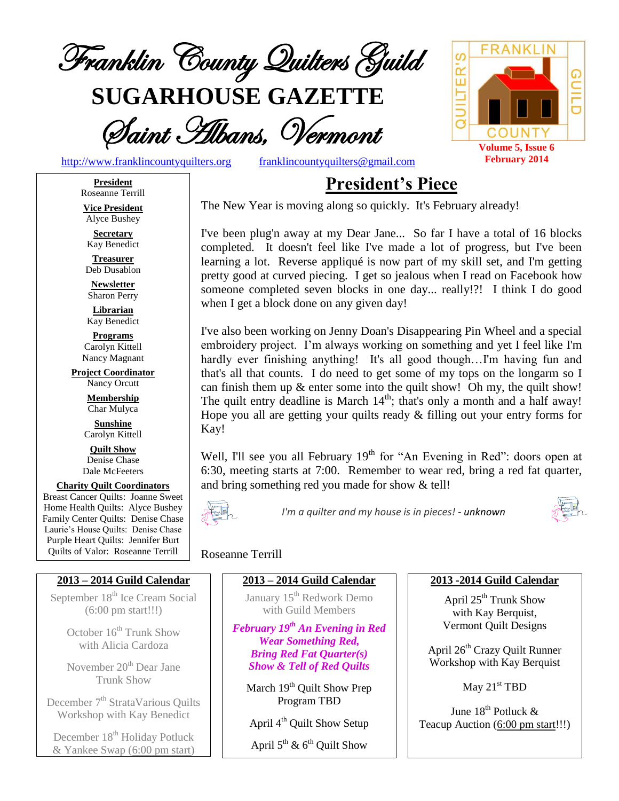

**SUGARHOUSE GAZETTE**

Saint Albans, Vermont



[http://www.franklincountyquilters.org](http://www.franklincountyquilters.org/) [franklincountyquilters@gmail.com](mailto:franklincountyquilters@gmail.com)

**President** Roseanne Terrill

**Vice President** Alyce Bushey

**Secretary** Kay Benedict

**Treasurer** Deb Dusablon

**Newsletter** Sharon Perry

**Librarian** Kay Benedict

**Programs** Carolyn Kittell Nancy Magnant

**Project Coordinator** Nancy Orcutt

> **Membership** Char Mulyca

**Sunshine** Carolyn Kittell

**Quilt Show** Denise Chase Dale McFeeters

**Charity Quilt Coordinators** Breast Cancer Quilts: Joanne Sweet Home Health Quilts: Alyce Bushey Family Center Quilts: Denise Chase Laurie's House Quilts: Denise Chase Purple Heart Quilts: Jennifer Burt Quilts of Valor: Roseanne Terrill

#### **2013 – 2014 Guild Calendar**

September 18<sup>th</sup> Ice Cream Social (6:00 pm start!!!)

> October  $16^{\text{th}}$  Trunk Show with Alicia Cardoza

> November 20<sup>th</sup> Dear Jane Trunk Show

December 7<sup>th</sup> StrataVarious Quilts Workshop with Kay Benedict

December 18<sup>th</sup> Holiday Potluck & Yankee Swap (6:00 pm start) **President's Piece**

The New Year is moving along so quickly. It's February already!

I've been plug'n away at my Dear Jane... So far I have a total of 16 blocks completed. It doesn't feel like I've made a lot of progress, but I've been learning a lot. Reverse appliqué is now part of my skill set, and I'm getting pretty good at curved piecing. I get so jealous when I read on Facebook how someone completed seven blocks in one day... really!?! I think I do good when I get a block done on any given day!

I've also been working on Jenny Doan's Disappearing Pin Wheel and a special embroidery project. I'm always working on something and yet I feel like I'm hardly ever finishing anything! It's all good though...I'm having fun and that's all that counts. I do need to get some of my tops on the longarm so I can finish them up & enter some into the quilt show! Oh my, the quilt show! The quilt entry deadline is March  $14<sup>th</sup>$ ; that's only a month and a half away! Hope you all are getting your quilts ready & filling out your entry forms for Kay!

Well, I'll see you all February  $19<sup>th</sup>$  for "An Evening in Red": doors open at 6:30, meeting starts at 7:00. Remember to wear red, bring a red fat quarter, and bring something red you made for show & tell!



*I'm a quilter and my house is in pieces! - unknown*



#### Roseanne Terrill

**2013 – 2014 Guild Calendar**

January 15<sup>th</sup> Redwork Demo with Guild Members

*February 19th An Evening in Red Wear Something Red, Bring Red Fat Quarter(s) Show & Tell of Red Quilts*

March  $19<sup>th</sup>$  Ouilt Show Prep Program TBD

April 4<sup>th</sup> Quilt Show Setup

April  $5^{\text{th}}$  &  $6^{\text{th}}$  Quilt Show

#### **2013 -2014 Guild Calendar**

April 25<sup>th</sup> Trunk Show with Kay Berquist, Vermont Quilt Designs

April 26<sup>th</sup> Crazy Quilt Runner Workshop with Kay Berquist

May 21<sup>st</sup> TBD

June 18<sup>th</sup> Potluck & Teacup Auction (6:00 pm start!!!)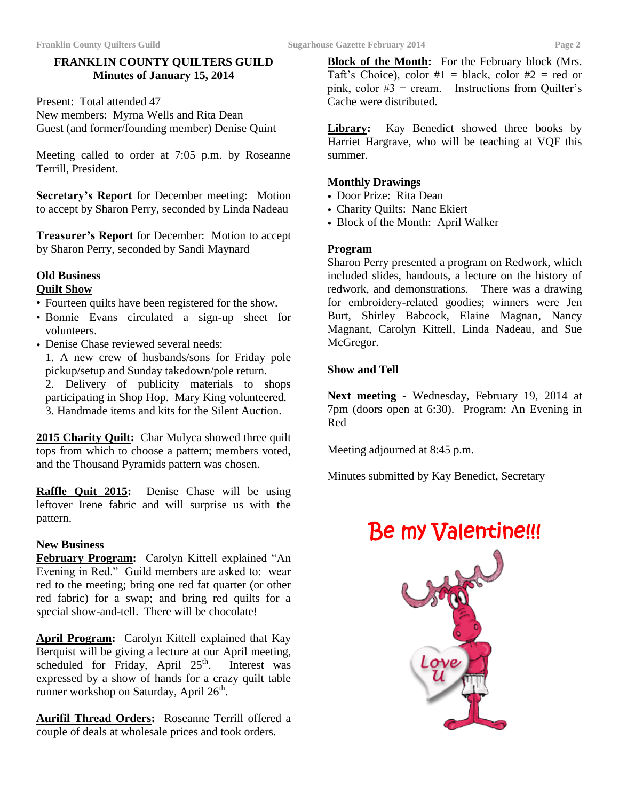#### **FRANKLIN COUNTY QUILTERS GUILD Minutes of January 15, 2014**

Present: Total attended 47 New members: Myrna Wells and Rita Dean Guest (and former/founding member) Denise Quint

Meeting called to order at 7:05 p.m. by Roseanne Terrill, President.

**Secretary's Report** for December meeting: Motion to accept by Sharon Perry, seconded by Linda Nadeau

**Treasurer's Report** for December: Motion to accept by Sharon Perry, seconded by Sandi Maynard

# **Old Business**

### **Quilt Show**

- Fourteen quilts have been registered for the show.
- Bonnie Evans circulated a sign-up sheet for volunteers.
- Denise Chase reviewed several needs:

1. A new crew of husbands/sons for Friday pole pickup/setup and Sunday takedown/pole return.

2. Delivery of publicity materials to shops participating in Shop Hop. Mary King volunteered. 3. Handmade items and kits for the Silent Auction.

**2015 Charity Quilt:** Char Mulyca showed three quilt tops from which to choose a pattern; members voted, and the Thousand Pyramids pattern was chosen.

**Raffle Quit 2015:** Denise Chase will be using leftover Irene fabric and will surprise us with the pattern.

#### **New Business**

**February Program:** Carolyn Kittell explained "An Evening in Red." Guild members are asked to: wear red to the meeting; bring one red fat quarter (or other red fabric) for a swap; and bring red quilts for a special show-and-tell. There will be chocolate!

**April Program:** Carolyn Kittell explained that Kay Berquist will be giving a lecture at our April meeting, scheduled for Friday, April  $25<sup>th</sup>$ . Interest was expressed by a show of hands for a crazy quilt table runner workshop on Saturday, April  $26<sup>th</sup>$ .

**Aurifil Thread Orders:** Roseanne Terrill offered a couple of deals at wholesale prices and took orders.

**Block of the Month:** For the February block (Mrs. Taft's Choice), color  $#1 = \text{black}$ , color  $#2 = \text{red}$  or pink, color  $#3$  = cream. Instructions from Quilter's Cache were distributed.

Library: Kay Benedict showed three books by Harriet Hargrave, who will be teaching at VQF this summer.

#### **Monthly Drawings**

- Door Prize: Rita Dean
- Charity Quilts: Nanc Ekiert
- Block of the Month: April Walker

#### **Program**

Sharon Perry presented a program on Redwork, which included slides, handouts, a lecture on the history of redwork, and demonstrations.There was a drawing for embroidery-related goodies; winners were Jen Burt, Shirley Babcock, Elaine Magnan, Nancy Magnant, Carolyn Kittell, Linda Nadeau, and Sue McGregor.

#### **Show and Tell**

**Next meeting** - Wednesday, February 19, 2014 at 7pm (doors open at 6:30). Program: An Evening in Red

Meeting adjourned at 8:45 p.m.

Minutes submitted by Kay Benedict, Secretary

# Be my Valentine!!!

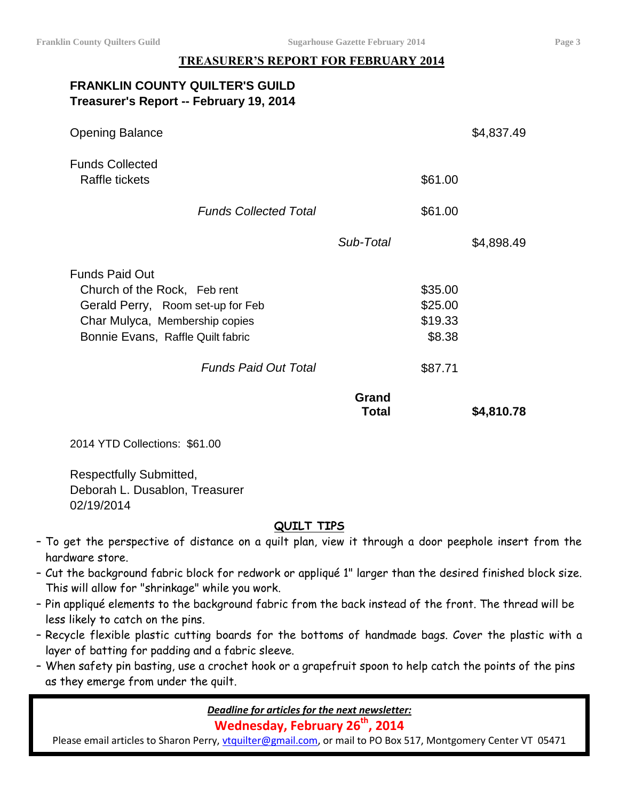#### **TREASURER'S REPORT FOR FEBRUARY 2014**

| <b>FRANKLIN COUNTY QUILTER'S GUILD</b>  |
|-----------------------------------------|
| Treasurer's Report -- February 19, 2014 |

| <b>Opening Balance</b>                   |                |         | \$4,837.49 |
|------------------------------------------|----------------|---------|------------|
| <b>Funds Collected</b><br>Raffle tickets |                | \$61.00 |            |
| <b>Funds Collected Total</b>             |                | \$61.00 |            |
|                                          | Sub-Total      |         | \$4,898.49 |
| <b>Funds Paid Out</b>                    |                |         |            |
| Church of the Rock, Feb rent             |                | \$35.00 |            |
| Gerald Perry, Room set-up for Feb        |                | \$25.00 |            |
| Char Mulyca, Membership copies           |                | \$19.33 |            |
| Bonnie Evans, Raffle Quilt fabric        |                | \$8.38  |            |
| <b>Funds Paid Out Total</b>              |                | \$87.71 |            |
|                                          | Grand<br>Total |         | \$4,810.78 |

2014 YTD Collections: \$61.00

Respectfully Submitted, Deborah L. Dusablon, Treasurer 02/19/2014

#### **QUILT TIPS**

- To get the perspective of distance on a quilt plan, view it through a door peephole insert from the hardware store.
- Cut the background fabric block for redwork or appliqué 1" larger than the desired finished block size. This will allow for "shrinkage" while you work.
- Pin appliqué elements to the background fabric from the back instead of the front. The thread will be less likely to catch on the pins.
- Recycle flexible plastic cutting boards for the bottoms of handmade bags. Cover the plastic with a layer of batting for padding and a fabric sleeve.
- When safety pin basting, use a crochet hook or a grapefruit spoon to help catch the points of the pins as they emerge from under the quilt.

*Deadline for articles for the next newsletter:*

**Wednesday, February 26 th , 2014**

Please email articles to Sharon Perry, [vtquilter@gmail.com,](mailto:vtquilter@gmail.com) or mail to PO Box 517, Montgomery Center VT 05471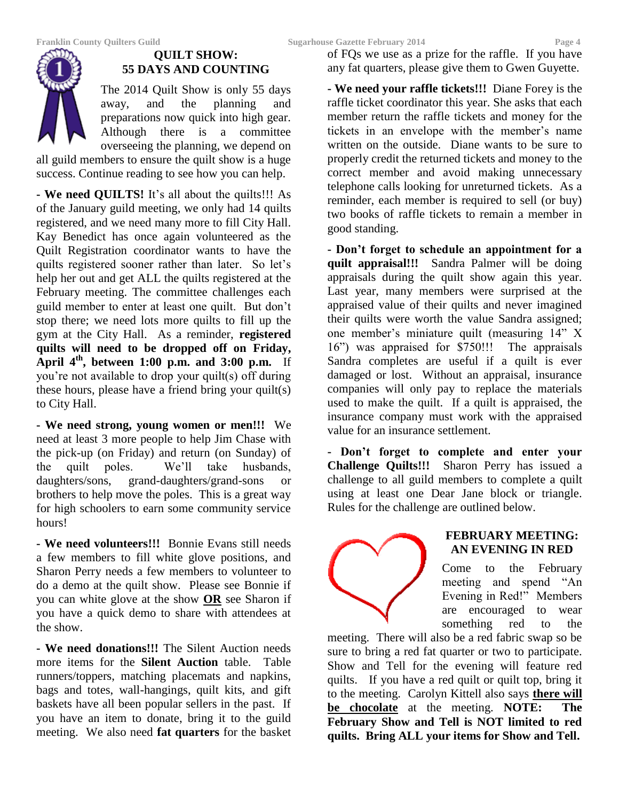

#### **QUILT SHOW: 55 DAYS AND COUNTING**

The 2014 Quilt Show is only 55 days away, and the planning and preparations now quick into high gear. Although there is a committee overseeing the planning, we depend on

all guild members to ensure the quilt show is a huge success. Continue reading to see how you can help.

**- We need QUILTS!** It's all about the quilts!!! As of the January guild meeting, we only had 14 quilts registered, and we need many more to fill City Hall. Kay Benedict has once again volunteered as the Quilt Registration coordinator wants to have the quilts registered sooner rather than later. So let's help her out and get ALL the quilts registered at the February meeting. The committee challenges each guild member to enter at least one quilt. But don't stop there; we need lots more quilts to fill up the gym at the City Hall. As a reminder, **registered quilts will need to be dropped off on Friday, April 4th, between 1:00 p.m. and 3:00 p.m.** If you're not available to drop your quilt(s) off during these hours, please have a friend bring your quilt(s) to City Hall.

**- We need strong, young women or men!!!** We need at least 3 more people to help Jim Chase with the pick-up (on Friday) and return (on Sunday) of the quilt poles. We'll take husbands, daughters/sons, grand-daughters/grand-sons or brothers to help move the poles. This is a great way for high schoolers to earn some community service hours!

**- We need volunteers!!!** Bonnie Evans still needs a few members to fill white glove positions, and Sharon Perry needs a few members to volunteer to do a demo at the quilt show. Please see Bonnie if you can white glove at the show **OR** see Sharon if you have a quick demo to share with attendees at the show.

**- We need donations!!!** The Silent Auction needs more items for the **Silent Auction** table. Table runners/toppers, matching placemats and napkins, bags and totes, wall-hangings, quilt kits, and gift baskets have all been popular sellers in the past. If you have an item to donate, bring it to the guild meeting. We also need **fat quarters** for the basket of FQs we use as a prize for the raffle. If you have any fat quarters, please give them to Gwen Guyette.

**- We need your raffle tickets!!!** Diane Forey is the raffle ticket coordinator this year. She asks that each member return the raffle tickets and money for the tickets in an envelope with the member's name written on the outside. Diane wants to be sure to properly credit the returned tickets and money to the correct member and avoid making unnecessary telephone calls looking for unreturned tickets. As a reminder, each member is required to sell (or buy) two books of raffle tickets to remain a member in good standing.

**- Don't forget to schedule an appointment for a quilt appraisal!!!** Sandra Palmer will be doing appraisals during the quilt show again this year. Last year, many members were surprised at the appraised value of their quilts and never imagined their quilts were worth the value Sandra assigned; one member's miniature quilt (measuring 14" X 16") was appraised for \$750!!! The appraisals Sandra completes are useful if a quilt is ever damaged or lost. Without an appraisal, insurance companies will only pay to replace the materials used to make the quilt. If a quilt is appraised, the insurance company must work with the appraised value for an insurance settlement.

**- Don't forget to complete and enter your Challenge Quilts!!!** Sharon Perry has issued a challenge to all guild members to complete a quilt using at least one Dear Jane block or triangle. Rules for the challenge are outlined below.



#### **FEBRUARY MEETING: AN EVENING IN RED**

Come to the February meeting and spend "An Evening in Red!" Members are encouraged to wear something red to the

meeting. There will also be a red fabric swap so be sure to bring a red fat quarter or two to participate. Show and Tell for the evening will feature red quilts. If you have a red quilt or quilt top, bring it to the meeting. Carolyn Kittell also says **there will be chocolate** at the meeting. **NOTE: The February Show and Tell is NOT limited to red quilts. Bring ALL your items for Show and Tell.**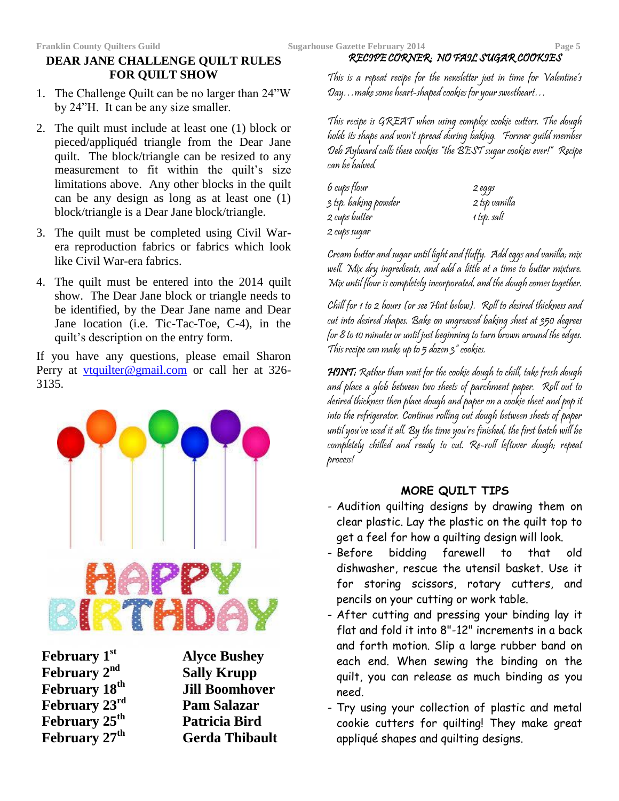#### **DEAR JANE CHALLENGE QUILT RULES FOR QUILT SHOW**

- 1. The Challenge Quilt can be no larger than 24"W by 24"H. It can be any size smaller.
- 2. The quilt must include at least one (1) block or pieced/appliquéd triangle from the Dear Jane quilt. The block/triangle can be resized to any measurement to fit within the quilt's size limitations above. Any other blocks in the quilt can be any design as long as at least one (1) block/triangle is a Dear Jane block/triangle.
- 3. The quilt must be completed using Civil Warera reproduction fabrics or fabrics which look like Civil War-era fabrics.
- 4. The quilt must be entered into the 2014 quilt show. The Dear Jane block or triangle needs to be identified, by the Dear Jane name and Dear Jane location (i.e. Tic-Tac-Toe, C-4), in the quilt's description on the entry form.

If you have any questions, please email Sharon Perry at <u>[vtquilter@gmail.com](mailto:vtquilter@gmail.com)</u> or call her at 326-3135.



**February 1st Alyce Bushey February 2nd Sally Krupp February 23rd Pam Salazar February 25 February 27th Gerda Thibault**

**February 18th Jill Boomhover th Patricia Bird**

This is a repeat recipe for the newsletter just in time for Valentine's Day…make some heart-shaped cookies for your sweetheart…

RECIPE CORNER: NO FAIL SUGAR COOKIES

This recipe is GREAT when using complex cookie cutters. The dough holds its shape and won't spread during baking. Former guild member Deb Aylward calls these cookies "the BEST sugar cookies ever!" Recipe can be halved.

| 6 cups flour         | 2 eggs        |
|----------------------|---------------|
| 3 tsp. baking powder | 2 tsp vanilla |
| 2 cups butter        | 1 tsp. salt   |
| 2 cups sugar         |               |

Cream butter and sugar until light and fluffy. Add eggs and vanilla; mix well. Mix dry ingredients, and add a little at a time to butter mixture. Mix until flour is completely incorporated, and the dough comes together.

Chill for 1 to 2 hours (or see Hint below). Roll to desired thickness and cut into desired shapes. Bake on ungreased baking sheet at 350 degrees for 8 to 10 minutes or until just beginning to turn brown around the edges. This recipe can make up to 5 dozen 3" cookies.

HINT: Rather than wait for the cookie dough to chill, take fresh dough and place a glob between two sheets of parchment paper. Roll out to desired thickness then place dough and paper on a cookie sheet and pop it into the refrigerator. Continue rolling out dough between sheets of paper until you've used it all. By the time you're finished, the first batch will be completely chilled and ready to cut. Re-roll leftover dough; repeat process!

#### **MORE QUILT TIPS**

- Audition quilting designs by drawing them on clear plastic. Lay the plastic on the quilt top to get a feel for how a quilting design will look.
- Before bidding farewell to that old dishwasher, rescue the utensil basket. Use it for storing scissors, rotary cutters, and pencils on your cutting or work table.
- After cutting and pressing your binding lay it flat and fold it into 8"-12" increments in a back and forth motion. Slip a large rubber band on each end. When sewing the binding on the quilt, you can release as much binding as you need.
- Try using your collection of plastic and metal cookie cutters for quilting! They make great appliqué shapes and quilting designs.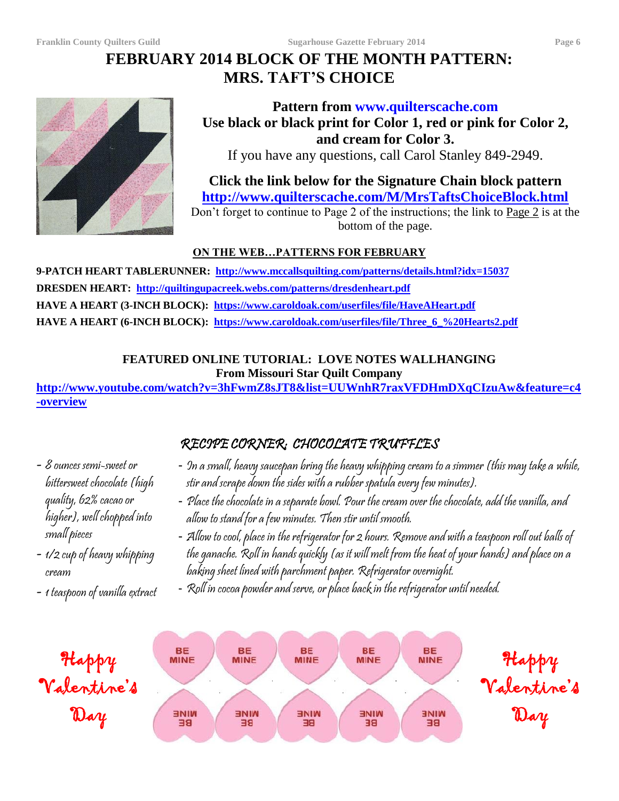# **FEBRUARY 2014 BLOCK OF THE MONTH PATTERN: MRS. TAFT'S CHOICE**



### **Pattern from www.quilterscache.com Use black or black print for Color 1, red or pink for Color 2, and cream for Color 3.**

If you have any questions, call Carol Stanley 849-2949.

# **Click the link below for the Signature Chain block pattern <http://www.quilterscache.com/M/MrsTaftsChoiceBlock.html>**

Don't forget to continue to Page 2 of the instructions; the link to Page 2 is at the bottom of the page.

#### **ON THE WEB…PATTERNS FOR FEBRUARY**

**9-PATCH HEART TABLERUNNER: <http://www.mccallsquilting.com/patterns/details.html?idx=15037> DRESDEN HEART: <http://quiltingupacreek.webs.com/patterns/dresdenheart.pdf> HAVE A HEART (3-INCH BLOCK):<https://www.caroldoak.com/userfiles/file/HaveAHeart.pdf> HAVE A HEART (6-INCH BLOCK): [https://www.caroldoak.com/userfiles/file/Three\\_6\\_%20Hearts2.pdf](https://www.caroldoak.com/userfiles/file/Three_6_%20Hearts2.pdf)**

#### **FEATURED ONLINE TUTORIAL: LOVE NOTES WALLHANGING From Missouri Star Quilt Company**

**[http://www.youtube.com/watch?v=3hFwmZ8sJT8&list=UUWnhR7raxVFDHmDXqCIzuAw&feature=c4](http://www.youtube.com/watch?v=3hFwmZ8sJT8&list=UUWnhR7raxVFDHmDXqCIzuAw&feature=c4-overview) [-overview](http://www.youtube.com/watch?v=3hFwmZ8sJT8&list=UUWnhR7raxVFDHmDXqCIzuAw&feature=c4-overview)**

### - 8 ounces semi-sweet or bittersweet chocolate (high quality, 62% cacao or higher), well chopped into small pieces

- 1/2 cup of heavy whipping cream
- 1 teaspoon of vanilla extract

## RECIPE CORNER: CHOCOLATE TRUFFLES

- In a small, heavy saucepan bring the heavy whipping cream to a simmer (this may take a while, stir and scrape down the sides with a rubber spatula every few minutes).
- Place the chocolate in a separate bowl. Pour the cream over the chocolate, add the vanilla, and allow to stand for a few minutes. Then stir until smooth.
- Allow to cool, place in the refrigerator for 2 hours. Remove and with a teaspoon roll out balls of the ganache. Roll in hands quickly (as it will melt from the heat of your hands) and place on a baking sheet lined with parchment paper. Refrigerator overnight.
- Roll in cocoa powder and serve, or place back in the refrigerator until needed.